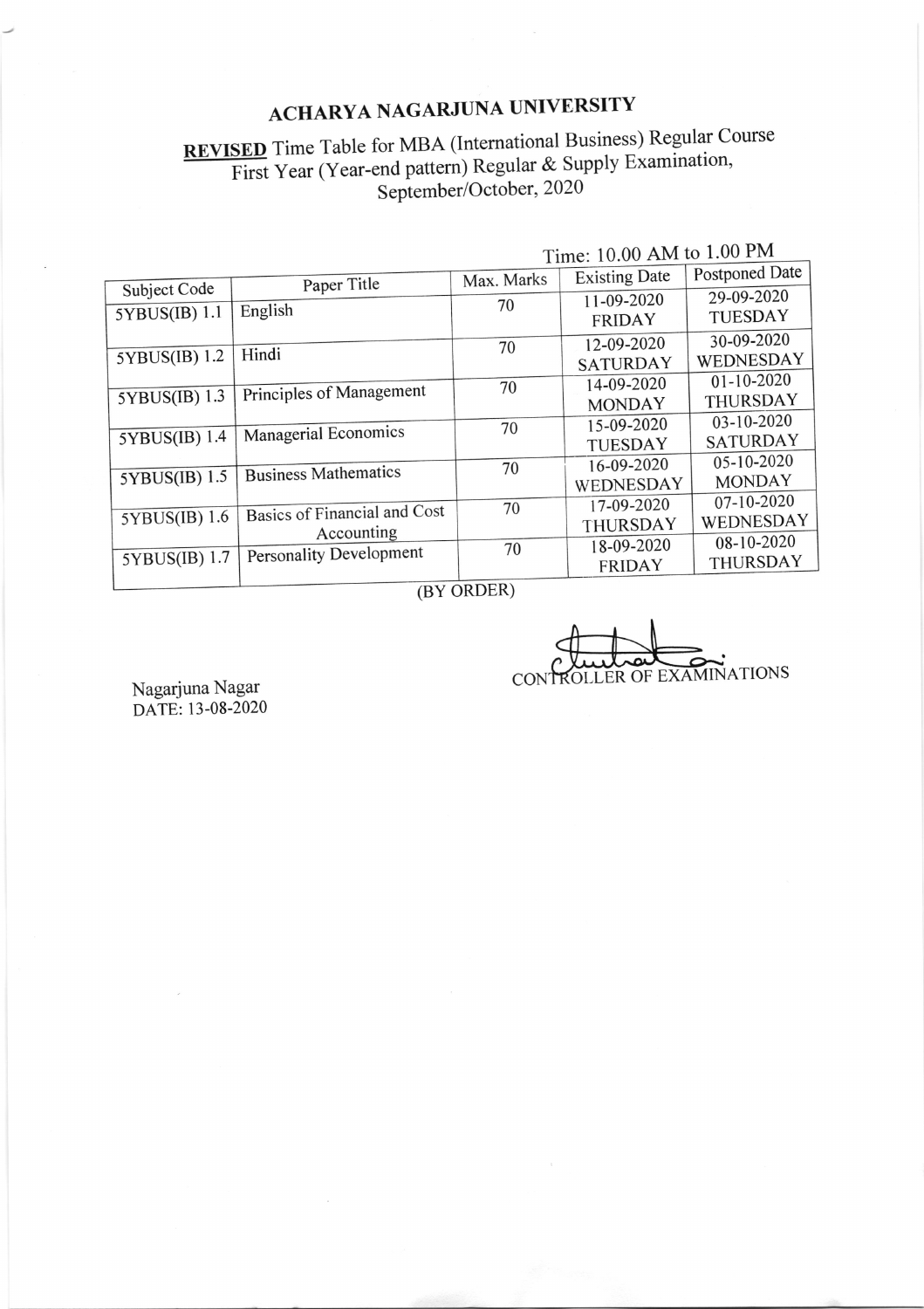## ACHARYA NAGARJUNA UNIVERSITY

## **REVISED** Time Table for MBA (International Business) Regular Course First Year (Year-end pattern) Regular & Supply Examination, September/October, 2020

|               | Paper Title                  | Max. Marks | <b>Existing Date</b> | Postponed Date   |  |
|---------------|------------------------------|------------|----------------------|------------------|--|
| Subject Code  |                              |            | 11-09-2020           | 29-09-2020       |  |
| 5YBUS(IB) 1.1 | English                      | 70         | <b>FRIDAY</b>        | <b>TUESDAY</b>   |  |
|               |                              | 70         | 12-09-2020           | 30-09-2020       |  |
| 5YBUS(IB) 1.2 | Hindi                        |            | <b>SATURDAY</b>      | WEDNESDAY        |  |
|               |                              | 70         | 14-09-2020           | $01 - 10 - 2020$ |  |
| 5YBUS(IB) 1.3 | Principles of Management     |            | <b>MONDAY</b>        | THURSDAY         |  |
|               |                              | 70         | 15-09-2020           | 03-10-2020       |  |
| 5YBUS(IB) 1.4 | Managerial Economics         |            | <b>TUESDAY</b>       | <b>SATURDAY</b>  |  |
|               |                              | 70         | 16-09-2020           | $05-10-2020$     |  |
| 5YBUS(IB) 1.5 | <b>Business Mathematics</b>  |            | WEDNESDAY            | <b>MONDAY</b>    |  |
|               | Basics of Financial and Cost | 70         | 17-09-2020           | 07-10-2020       |  |
| 5YBUS(IB) 1.6 | Accounting                   |            | THURSDAY             | WEDNESDAY        |  |
|               |                              | 70         | 18-09-2020           | 08-10-2020       |  |
| 5YBUS(IB) 1.7 | Personality Development      |            | FRIDAY               | THURSDAY         |  |
|               |                              |            |                      |                  |  |

Time: 10.00 AM to 1.00 PM

(BY ORDER)

CONTROLLER OF EXAMINATIONS

Nagarjuna Nagar<br>DATE: 13-08-2020